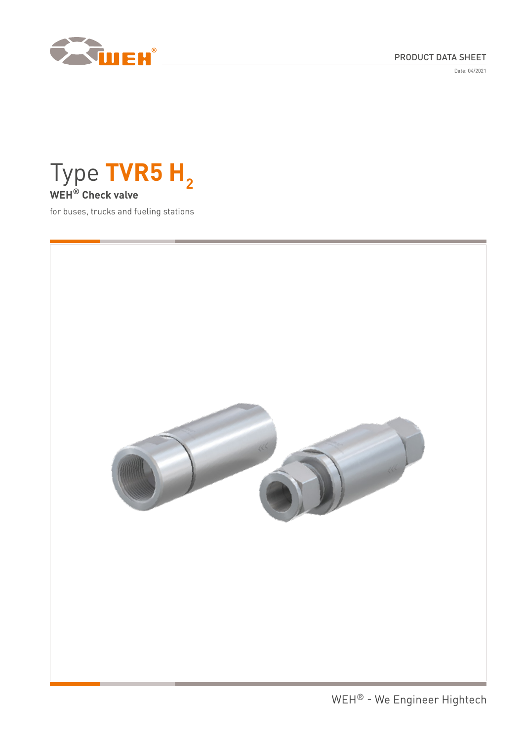

## PRODUCT DATA SHEET

Date: 04/2021



for buses, trucks and fueling stations

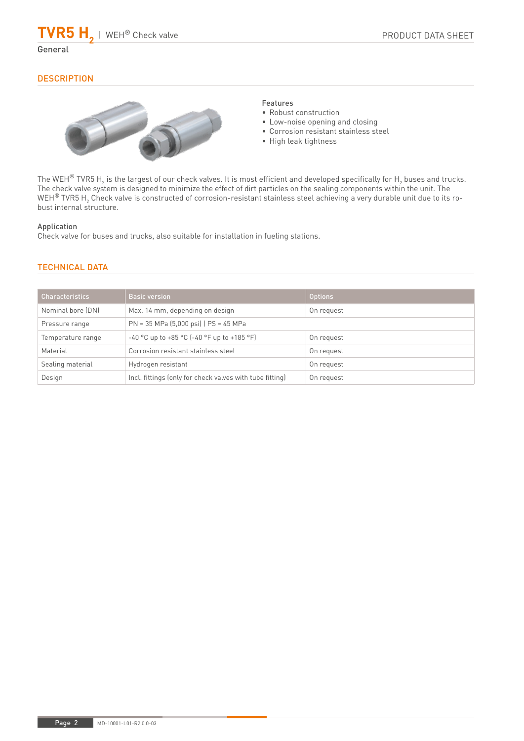$TVR5 H_{2}$  | WEH® Check valve

## **DESCRIPTION**



## Features

- Robust construction
- Low-noise opening and closing
- Corrosion resistant stainless steel
- High leak tightness

The WEH® TVR5  $\sf H_2$  is the largest of our check valves. It is most efficient and developed specifically for  $\sf H_2$  buses and trucks. The check valve system is designed to minimize the effect of dirt particles on the sealing components within the unit. The WEH $^\circ$  TVR5 H $_2$  Check valve is constructed of corrosion-resistant stainless steel achieving a very durable unit due to its robust internal structure.

### Application

Check valve for buses and trucks, also suitable for installation in fueling stations.

## TECHNICAL DATA

| <b>Characteristics</b> | <b>Basic version</b>                                     | <b>Options</b> |
|------------------------|----------------------------------------------------------|----------------|
| Nominal bore (DN)      | Max. 14 mm, depending on design                          | On request     |
| Pressure range         | $PN = 35 MPa (5,000 psi)   PS = 45 MPa$                  |                |
| Temperature range      | $-40$ °C up to $+85$ °C ( $-40$ °F up to $+185$ °F)      | On request     |
| Material               | Corrosion resistant stainless steel                      | On request     |
| Sealing material       | Hydrogen resistant                                       | On request     |
| Design                 | Incl. fittings (only for check valves with tube fitting) | On request     |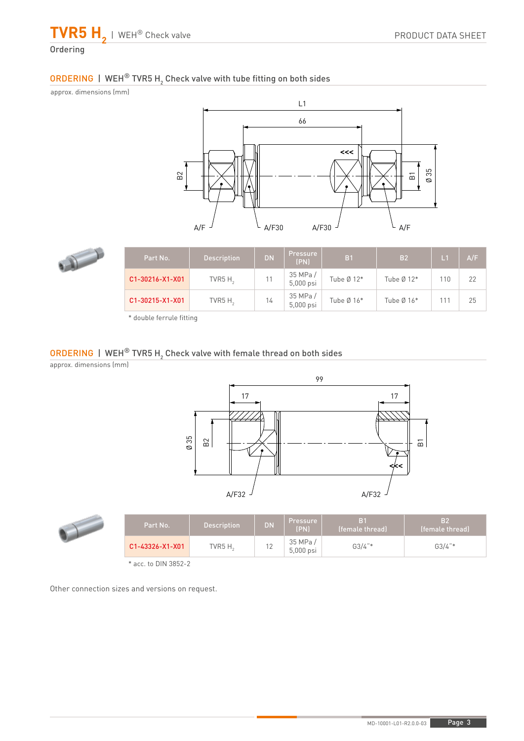**TVR5 H2** | WEH® Check valve **Ordering** 

# ORDERING | WEH® TVR5 H<sub>2</sub> Check valve with tube fitting on both sides

approx. dimensions (mm)





| Part No.        | <b>Description</b> | <b>DN</b> | <b>Pressure</b><br>(PN) | B <sub>1</sub> | <b>B2</b>    | L <sub>1</sub> | A/F |
|-----------------|--------------------|-----------|-------------------------|----------------|--------------|----------------|-----|
| C1-30216-X1-X01 | TVR5 $H2$          |           | 35 MPa /<br>5,000 psi   | Tube $Ø 12*$   | Tube $Ø$ 12* | 110            | 22  |
| C1-30215-X1-X01 | TVR5 $H2$          | 14        | 35 MPa/<br>5,000 psi    | Tube $Ø16*$    | Tube $Ø16*$  | 111            | 25  |

\* double ferrule fitting

# ORDERING | WEH $^\circledR$  TVR5 H $_2$  Check valve with female thread on both sides

approx. dimensions (mm)



|  | Part No.        | <b>Description</b> | <b>DN</b> | Pressure l<br>(PN)    | B <sub>1</sub><br>(female thread) | IB <sub>2</sub><br>(female thread) |
|--|-----------------|--------------------|-----------|-----------------------|-----------------------------------|------------------------------------|
|  | C1-43326-X1-X01 | TVR5 $H_{\odot}$   | <u>.</u>  | 35 MPa /<br>5,000 psi | $G3/4$ "*                         | $G3/4$ "*                          |
|  |                 |                    |           |                       |                                   |                                    |

\* acc. to DIN 3852-2

Other connection sizes and versions on request.